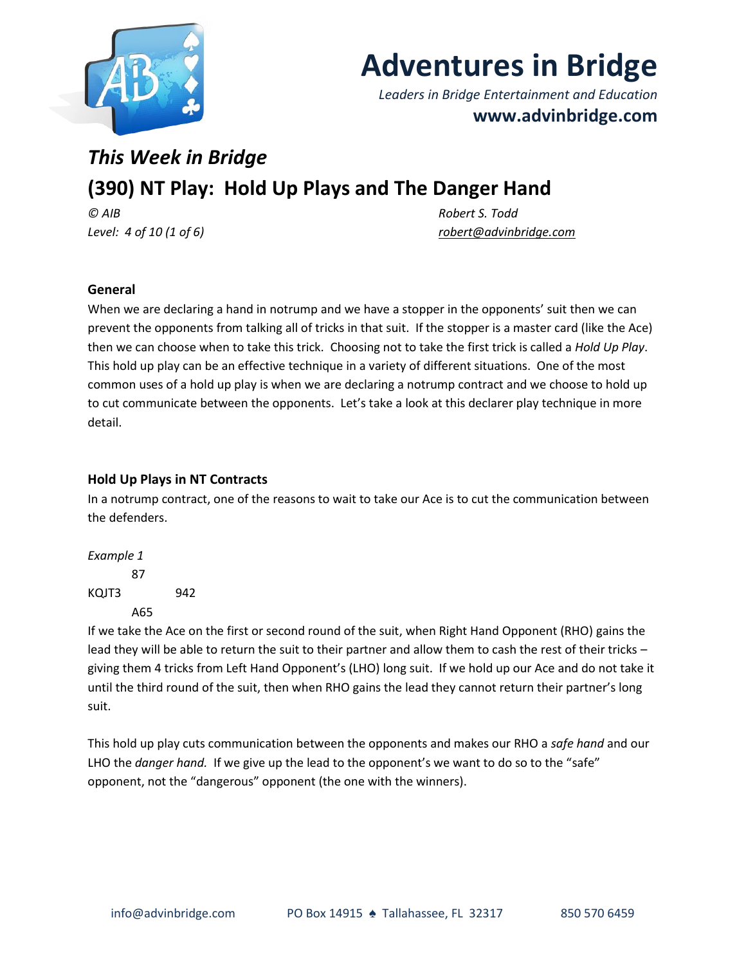

# **Adventures in Bridge**

*Leaders in Bridge Entertainment and Education* **www.advinbridge.com**

# *This Week in Bridge* **(390) NT Play: Hold Up Plays and The Danger Hand** *© AIB Robert S. Todd*

*Level: 4 of 10 (1 of 6) [robert@advinbridge.com](mailto:robert@advinbridge.com)* 

# **General**

When we are declaring a hand in notrump and we have a stopper in the opponents' suit then we can prevent the opponents from talking all of tricks in that suit. If the stopper is a master card (like the Ace) then we can choose when to take this trick. Choosing not to take the first trick is called a *Hold Up Play*. This hold up play can be an effective technique in a variety of different situations. One of the most common uses of a hold up play is when we are declaring a notrump contract and we choose to hold up to cut communicate between the opponents. Let's take a look at this declarer play technique in more detail.

# **Hold Up Plays in NT Contracts**

In a notrump contract, one of the reasons to wait to take our Ace is to cut the communication between the defenders.

*Example 1* 87 KQJT3 942 A65

If we take the Ace on the first or second round of the suit, when Right Hand Opponent (RHO) gains the lead they will be able to return the suit to their partner and allow them to cash the rest of their tricks – giving them 4 tricks from Left Hand Opponent's (LHO) long suit. If we hold up our Ace and do not take it until the third round of the suit, then when RHO gains the lead they cannot return their partner's long suit.

This hold up play cuts communication between the opponents and makes our RHO a *safe hand* and our LHO the *danger hand.* If we give up the lead to the opponent's we want to do so to the "safe" opponent, not the "dangerous" opponent (the one with the winners).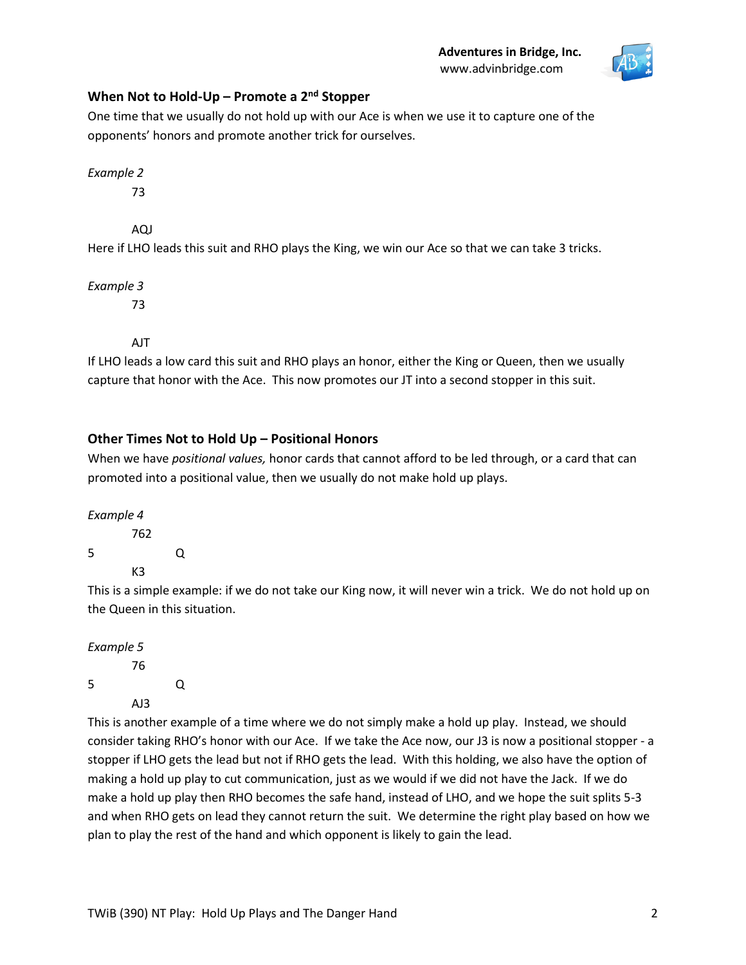

# **When Not to Hold-Up – Promote a 2nd Stopper**

One time that we usually do not hold up with our Ace is when we use it to capture one of the opponents' honors and promote another trick for ourselves.

*Example 2*

73

AQJ

Here if LHO leads this suit and RHO plays the King, we win our Ace so that we can take 3 tricks.

*Example 3*

73

AJT

If LHO leads a low card this suit and RHO plays an honor, either the King or Queen, then we usually capture that honor with the Ace. This now promotes our JT into a second stopper in this suit.

# **Other Times Not to Hold Up – Positional Honors**

When we have *positional values,* honor cards that cannot afford to be led through, or a card that can promoted into a positional value, then we usually do not make hold up plays.

*Example 4* 762 5 Q K3

This is a simple example: if we do not take our King now, it will never win a trick. We do not hold up on the Queen in this situation.

*Example 5* 76 5 Q AJ3

This is another example of a time where we do not simply make a hold up play. Instead, we should consider taking RHO's honor with our Ace. If we take the Ace now, our J3 is now a positional stopper - a stopper if LHO gets the lead but not if RHO gets the lead. With this holding, we also have the option of making a hold up play to cut communication, just as we would if we did not have the Jack. If we do make a hold up play then RHO becomes the safe hand, instead of LHO, and we hope the suit splits 5-3 and when RHO gets on lead they cannot return the suit. We determine the right play based on how we plan to play the rest of the hand and which opponent is likely to gain the lead.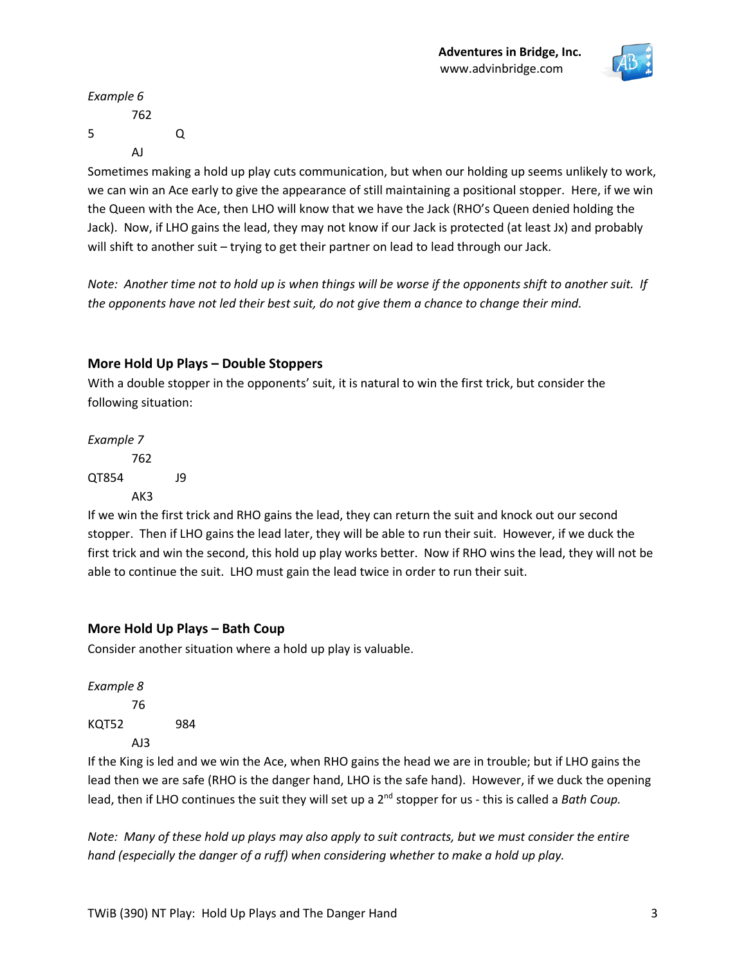

*Example 6* 762 5 Q AJ

Sometimes making a hold up play cuts communication, but when our holding up seems unlikely to work, we can win an Ace early to give the appearance of still maintaining a positional stopper. Here, if we win the Queen with the Ace, then LHO will know that we have the Jack (RHO's Queen denied holding the Jack). Now, if LHO gains the lead, they may not know if our Jack is protected (at least Jx) and probably will shift to another suit – trying to get their partner on lead to lead through our Jack.

*Note: Another time not to hold up is when things will be worse if the opponents shift to another suit. If the opponents have not led their best suit, do not give them a chance to change their mind.*

### **More Hold Up Plays – Double Stoppers**

With a double stopper in the opponents' suit, it is natural to win the first trick, but consider the following situation:

# *Example 7* 762 QT854 J9 AK3

If we win the first trick and RHO gains the lead, they can return the suit and knock out our second stopper. Then if LHO gains the lead later, they will be able to run their suit. However, if we duck the first trick and win the second, this hold up play works better. Now if RHO wins the lead, they will not be able to continue the suit. LHO must gain the lead twice in order to run their suit.

### **More Hold Up Plays – Bath Coup**

Consider another situation where a hold up play is valuable.

*Example 8*  76 KQT52 984 AJ3

If the King is led and we win the Ace, when RHO gains the head we are in trouble; but if LHO gains the lead then we are safe (RHO is the danger hand, LHO is the safe hand). However, if we duck the opening lead, then if LHO continues the suit they will set up a 2<sup>nd</sup> stopper for us - this is called a *Bath Coup*.

*Note: Many of these hold up plays may also apply to suit contracts, but we must consider the entire hand (especially the danger of a ruff) when considering whether to make a hold up play.*